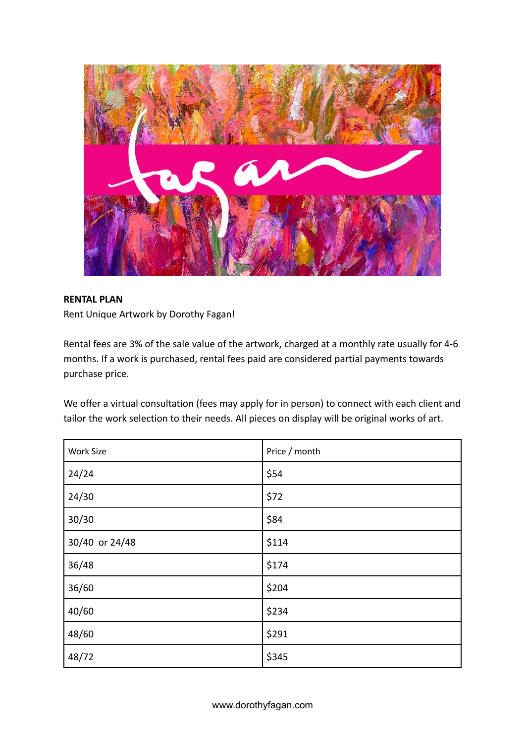

## **RENTAL PLAN**

Rent Unique Artwork by Dorothy Fagan!

Rental fees are 3% of the sale value of the artwork, charged at a monthly rate usually for 4-6 months. If a work is purchased, rental fees paid are [considered partial payments towards](https://artspay.org/understanding-fees-prices) [purchase price](https://artspay.org/understanding-fees-prices).

We offer a virtual consultation (fees may apply for in person) to connect with each client and tailor the work selection to their needs. All pieces on display will be original works of art.

| Work Size      | Price / month |
|----------------|---------------|
| 24/24          | \$54          |
| 24/30          | \$72          |
| 30/30          | \$84          |
| 30/40 or 24/48 | \$114         |
| 36/48          | \$174         |
| 36/60          | \$204         |
| 40/60          | \$234         |
| 48/60          | \$291         |
| 48/72          | \$345         |